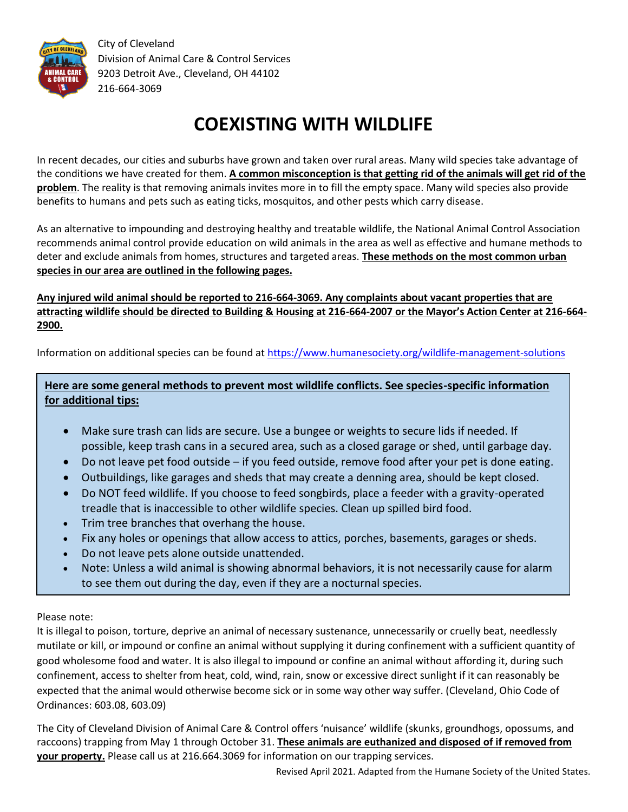

City of Cleveland Division of Animal Care & Control Services 9203 Detroit Ave., Cleveland, OH 44102 216-664-3069

# **COEXISTING WITH WILDLIFE**

In recent decades, our cities and suburbs have grown and taken over rural areas. Many wild species take advantage of the conditions we have created for them. **A common misconception is that getting rid of the animals will get rid of the problem**. The reality is that removing animals invites more in to fill the empty space. Many wild species also provide benefits to humans and pets such as eating ticks, mosquitos, and other pests which carry disease.

As an alternative to impounding and destroying healthy and treatable wildlife, the National Animal Control Association recommends animal control provide education on wild animals in the area as well as effective and humane methods to deter and exclude animals from homes, structures and targeted areas. **These methods on the most common urban species in our area are outlined in the following pages.**

**Any injured wild animal should be reported to 216-664-3069. Any complaints about vacant properties that are attracting wildlife should be directed to Building & Housing at 216-664-2007 or the Mayor's Action Center at 216-664- 2900.**

Information on additional species can be found a[t https://www.humanesociety.org/wildlife-management-solutions](https://www.humanesociety.org/wildlife-management-solutions)

**Here are some general methods to prevent most wildlife conflicts. See species-specific information for additional tips:**

- Make sure trash can lids are secure. Use a bungee or weights to secure lids if needed. If possible, keep trash cans in a secured area, such as a closed garage or shed, until garbage day.
- Do not leave pet food outside if you feed outside, remove food after your pet is done eating.
- Outbuildings, like garages and sheds that may create a denning area, should be kept closed.
- Do NOT feed wildlife. If you choose to feed songbirds, place a feeder with a gravity-operated treadle that is inaccessible to other wildlife species. Clean up spilled bird food.
- Trim tree branches that overhang the house.
- Fix any holes or openings that allow access to attics, porches, basements, garages or sheds.
- Do not leave pets alone outside unattended.
- Note: Unless a wild animal is showing abnormal behaviors, it is not necessarily cause for alarm to see them out during the day, even if they are a nocturnal species.

### Please note: Ī

It is illegal to poison, torture, deprive an animal of necessary sustenance, unnecessarily or cruelly beat, needlessly mutilate or kill, or impound or confine an animal without supplying it during confinement with a sufficient quantity of good wholesome food and water. It is also illegal to impound or confine an animal without affording it, during such confinement, access to shelter from heat, cold, wind, rain, snow or excessive direct sunlight if it can reasonably be expected that the animal would otherwise become sick or in some way other way suffer. (Cleveland, Ohio Code of Ordinances: 603.08, 603.09)

The City of Cleveland Division of Animal Care & Control offers 'nuisance' wildlife (skunks, groundhogs, opossums, and raccoons) trapping from May 1 through October 31. **These animals are euthanized and disposed of if removed from your property.** Please call us at 216.664.3069 for information on our trapping services.

Revised April 2021. Adapted from the Humane Society of the United States.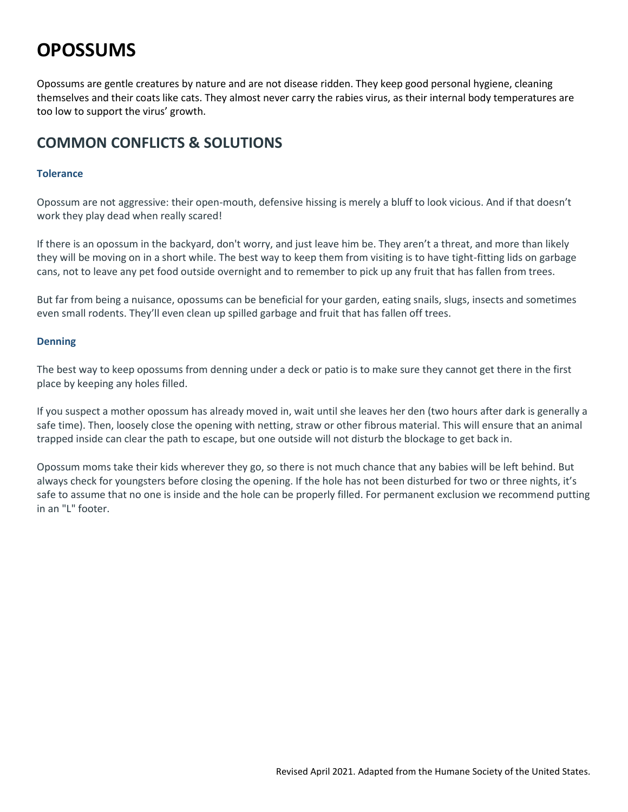## **OPOSSUMS**

Opossums are gentle creatures by nature and are not disease ridden. They keep good personal hygiene, cleaning themselves and their coats like cats. They almost never carry the rabies virus, as their internal body temperatures are too low to support the virus' growth.

## **COMMON CONFLICTS & SOLUTIONS**

### **Tolerance**

Opossum are not aggressive: their open-mouth, defensive hissing is merely a bluff to look vicious. And if that doesn't work they play dead when really scared!

If there is an opossum in the [backyard,](https://www.humanesociety.org/humane-backyard) don't worry, and just leave him be. They aren't a threat, and more than likely they will be moving on in a short while. The best way to keep them from visiting is to have tight-fitting lids on garbage cans, not to leave any pet food outside overnight and to remember to pick up any fruit that has fallen from trees.

But far from being a nuisance, opossums can be beneficial for your garden, eating snails, slugs, insects and sometimes even small rodents. They'll even clean up spilled garbage and fruit that has fallen off trees.

### **Denning**

The best way to keep opossums from denning under a deck or patio is to make sure they cannot get there in the first place by keeping any holes filled.

If you suspect a mother opossum has already moved in, wait until she leaves her den (two hours after dark is generally a safe time). Then, loosely close the opening with netting, straw or other fibrous material. This will ensure that an animal trapped inside can clear the path to escape, but one outside will not disturb the blockage to get back in.

Opossum moms take their kids wherever they go, so there is not much chance that any babies will be left behind. But always check for youngsters before closing the opening. If the hole has not been disturbed for two or three nights, it's safe to assume that no one is inside and the hole can be properly filled. For permanent exclusion we recommend putting in an "L" footer.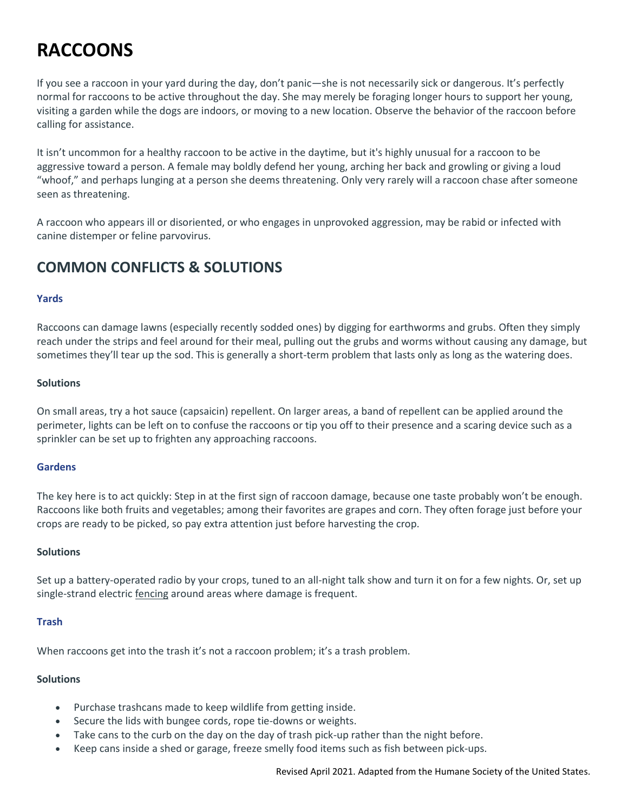# **RACCOONS**

If you see a raccoon in your yard during the day, don't panic—she is not necessarily sick or dangerous. It's perfectly normal for raccoons to be active throughout the day. She may merely be foraging longer hours to support her young, visiting a garden while the dogs are indoors, or moving to a new location. Observe the behavior of the raccoon before calling for assistance.

It isn't uncommon for a healthy raccoon to be active in the daytime, but it's highly unusual for a raccoon to be aggressive toward a person. A female may boldly defend her young, arching her back and growling or giving a loud "whoof," and perhaps lunging at a person she deems threatening. Only very rarely will a raccoon chase after someone seen as threatening.

A raccoon who appears ill or disoriented, or who engages in unprovoked aggression, may be rabid or infected with canine distemper or feline parvovirus.

## **COMMON CONFLICTS & SOLUTIONS**

### **Yards**

Raccoons can damage lawns (especially recently sodded ones) by digging for earthworms and grubs. Often they simply reach under the strips and feel around for their meal, pulling out the grubs and worms without causing any damage, but sometimes they'll tear up the sod. This is generally a short-term problem that lasts only as long as the watering does.

### **Solutions**

On small areas, try a hot sauce (capsaicin) repellent. On larger areas, a band of repellent can be applied around the perimeter, lights can be left on to confuse the raccoons or tip you off to their presence and a scaring device such as a sprinkler can be set up to frighten any approaching raccoons.

### **Gardens**

The key here is to act quickly: Step in at the first sign of raccoon damage, because one taste probably won't be enough. Raccoons like both fruits and vegetables; among their favorites are grapes and corn. They often forage just before your crops are ready to be picked, so pay extra attention just before harvesting the crop.

### **Solutions**

Set up a battery-operated radio by your crops, tuned to an all-night talk show and turn it on for a few nights. Or, set up single-strand electric [fencing](https://www.humanesociety.org/resources/fence-out-digging-animals) around areas where damage is frequent.

### **Trash**

When raccoons get into the trash it's not a raccoon problem; it's a trash problem.

### **Solutions**

- Purchase trashcans made to keep wildlife from getting inside.
- Secure the lids with bungee cords, rope tie-downs or weights.
- Take cans to the curb on the day on the day of trash pick-up rather than the night before.
- Keep cans inside a shed or garage, freeze smelly food items such as fish between pick-ups.

Revised April 2021. Adapted from the Humane Society of the United States.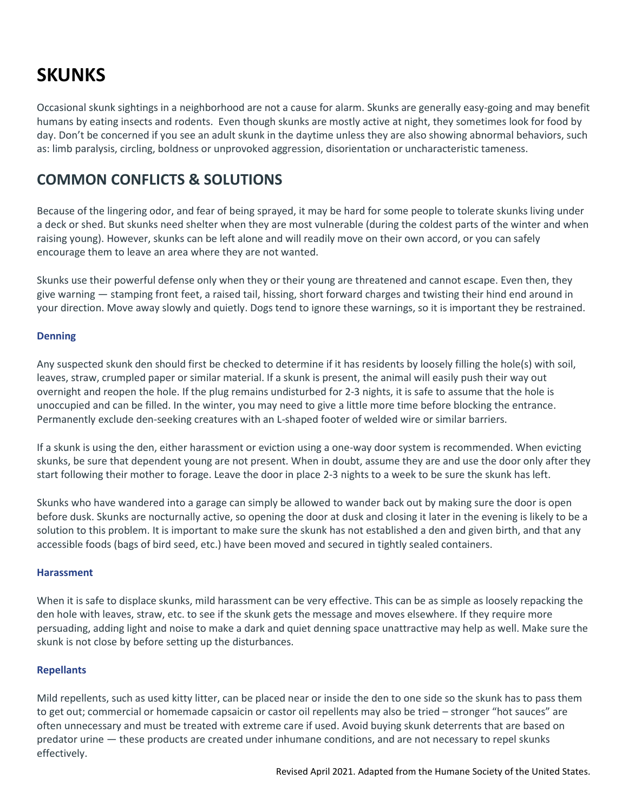## **SKUNKS**

Occasional skunk sightings in a neighborhood are not a cause for alarm. Skunks are generally easy-going and may benefit humans by eating insects and rodents. Even though skunks are mostly active at night, they sometimes look for food by day. Don't be concerned if you see an adult skunk in the daytime unless they are also showing abnormal behaviors, such as: limb paralysis, circling, boldness or unprovoked aggression, disorientation or uncharacteristic tameness.

### **COMMON CONFLICTS & SOLUTIONS**

Because of the lingering odor, and fear of being sprayed, it may be hard for some people to tolerate skunks living under a deck or shed. But skunks need shelter when they are most vulnerable (during the coldest parts of the winter and when raising young). However, skunks can be left alone and will readily move on their own accord, or you can safely encourage them to leave an area where they are not wanted.

Skunks use their powerful defense only when they or their young are threatened and cannot escape. Even then, they give warning — stamping front feet, a raised tail, hissing, short forward charges and twisting their hind end around in your direction. Move away slowly and quietly. Dogs tend to ignore these warnings, so it is important they be restrained.

### **Denning**

Any suspected skunk den should first be checked to determine if it has residents by loosely filling the hole(s) with soil, leaves, straw, crumpled paper or similar material. If a skunk is present, the animal will easily push their way out overnight and reopen the hole. If the plug remains undisturbed for 2-3 nights, it is safe to assume that the hole is unoccupied and can be filled. In the winter, you may need to give a little more time before blocking the entrance. Permanently exclude den-seeking creatures with an L-shaped footer of welded wire or similar barriers.

If a skunk is using the den, either harassment or eviction using a one-way door system is recommended. When evicting skunks, be sure that dependent young are not present. When in doubt, assume they are and use the door only after they start following their mother to forage. Leave the door in place 2-3 nights to a week to be sure the skunk has left.

Skunks who have wandered into a garage can simply be allowed to wander back out by making sure the door is open before dusk. Skunks are nocturnally active, so opening the door at dusk and closing it later in the evening is likely to be a solution to this problem. It is important to make sure the skunk has not established a den and given birth, and that any accessible foods (bags of bird seed, etc.) have been moved and secured in tightly sealed containers.

### **Harassment**

When it is safe to displace skunks, mild harassment can be very effective. This can be as simple as loosely repacking the den hole with leaves, straw, etc. to see if the skunk gets the message and moves elsewhere. If they require more persuading, adding light and noise to make a dark and quiet denning space unattractive may help as well. Make sure the skunk is not close by before setting up the disturbances.

### **Repellants**

Mild repellents, such as used kitty litter, can be placed near or inside the den to one side so the skunk has to pass them to get out; commercial or homemade capsaicin or castor oil repellents may also be tried – stronger "hot sauces" are often unnecessary and must be treated with extreme care if used. Avoid buying skunk deterrents that are based on predator urine — these products are created under inhumane conditions, and are not necessary to repel skunks effectively.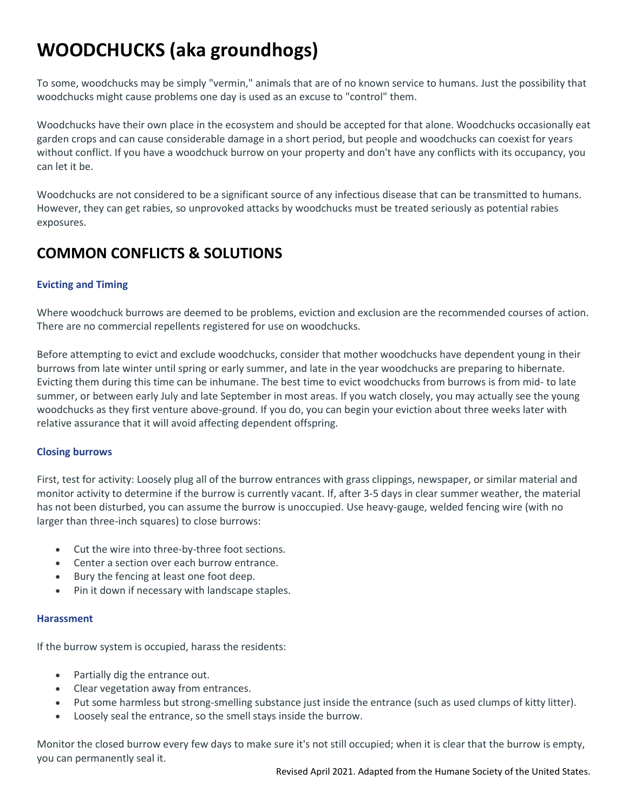# **WOODCHUCKS (aka groundhogs)**

To some, woodchucks may be simply "vermin," animals that are of no known service to humans. Just the possibility that woodchucks might cause problems one day is used as an excuse to "control" them.

Woodchucks have their own place in the ecosystem and should be accepted for that alone. Woodchucks occasionally eat garden crops and can cause considerable damage in a short period, but people and woodchucks can coexist for years without conflict. If you have a woodchuck burrow on your property and don't have any conflicts with its occupancy, you can let it be.

Woodchucks are not considered to be a significant source of any infectious disease that can be transmitted to humans. However, they can get rabies, so unprovoked attacks by woodchucks must be treated seriously as potential rabies exposures.

## **COMMON CONFLICTS & SOLUTIONS**

### **Evicting and Timing**

Where woodchuck burrows are deemed to be problems, eviction and exclusion are the recommended courses of action. There are no commercial repellents registered for use on woodchucks.

Before attempting to evict and exclude woodchucks, consider that mother woodchucks have dependent young in their burrows from late winter until spring or early summer, and late in the year woodchucks are preparing to hibernate. Evicting them during this time can be inhumane. The best time to evict woodchucks from burrows is from mid- to late summer, or between early July and late September in most areas. If you watch closely, you may actually see the young woodchucks as they first venture above-ground. If you do, you can begin your eviction about three weeks later with relative assurance that it will avoid affecting dependent offspring.

### **Closing burrows**

First, test for activity: Loosely plug all of the burrow entrances with grass clippings, newspaper, or similar material and monitor activity to determine if the burrow is currently vacant. If, after 3-5 days in clear summer weather, the material has not been disturbed, you can assume the burrow is unoccupied. Use heavy-gauge, welded fencing wire (with no larger than three-inch squares) to close burrows:

- Cut the wire into three-by-three foot sections.
- Center a section over each burrow entrance.
- Bury the fencing at least one foot deep.
- Pin it down if necessary with landscape staples.

### **Harassment**

If the burrow system is occupied, harass the residents:

- Partially dig the entrance out.
- Clear vegetation away from entrances.
- Put some harmless but strong-smelling substance just inside the entrance (such as used clumps of kitty litter).
- Loosely seal the entrance, so the smell stays inside the burrow.

Monitor the closed burrow every few days to make sure it's not still occupied; when it is clear that the burrow is empty, you can permanently seal it.